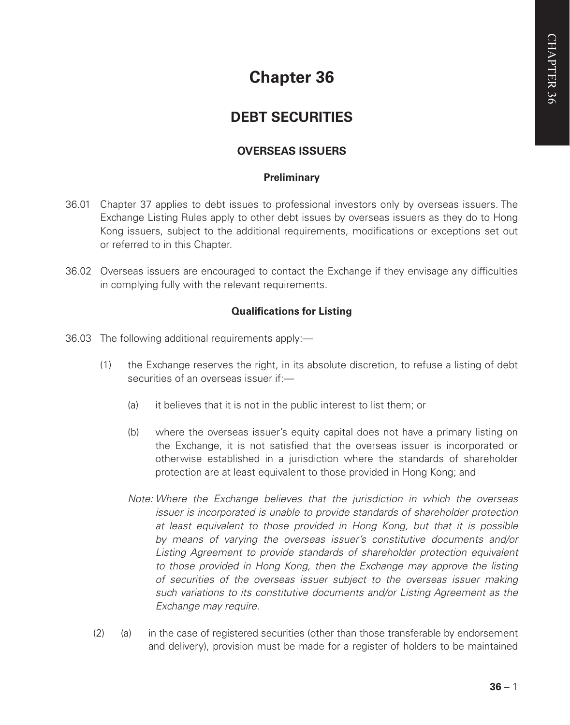# **Chapter 36**

# **DEBT SECURITIES**

# **OVERSEAS ISSUERS**

# **Preliminary**

- 36.01 Chapter 37 applies to debt issues to professional investors only by overseas issuers. The Exchange Listing Rules apply to other debt issues by overseas issuers as they do to Hong Kong issuers, subject to the additional requirements, modifications or exceptions set out or referred to in this Chapter.
- 36.02 Overseas issuers are encouraged to contact the Exchange if they envisage any difficulties in complying fully with the relevant requirements.

# **Qualifications for Listing**

- 36.03 The following additional requirements apply:—
	- (1) the Exchange reserves the right, in its absolute discretion, to refuse a listing of debt securities of an overseas issuer if:—
		- (a) it believes that it is not in the public interest to list them; or
		- (b) where the overseas issuer's equity capital does not have a primary listing on the Exchange, it is not satisfied that the overseas issuer is incorporated or otherwise established in a jurisdiction where the standards of shareholder protection are at least equivalent to those provided in Hong Kong; and
		- *Note: Where the Exchange believes that the jurisdiction in which the overseas issuer is incorporated is unable to provide standards of shareholder protection at least equivalent to those provided in Hong Kong, but that it is possible by means of varying the overseas issuer's constitutive documents and/or*  Listing Agreement to provide standards of shareholder protection equivalent to those provided in Hong Kong, then the Exchange may approve the listing *of securities of the overseas issuer subject to the overseas issuer making such variations to its constitutive documents and/or Listing Agreement as the Exchange may require.*
	- (2) (a) in the case of registered securities (other than those transferable by endorsement and delivery), provision must be made for a register of holders to be maintained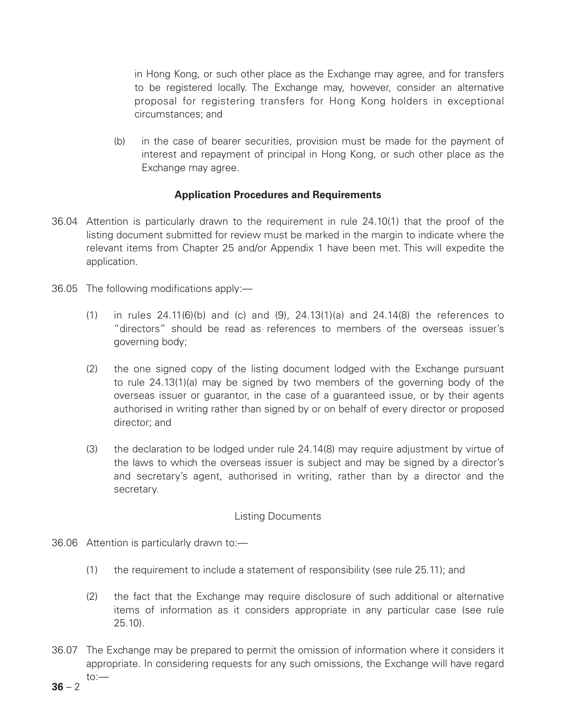in Hong Kong, or such other place as the Exchange may agree, and for transfers to be registered locally. The Exchange may, however, consider an alternative proposal for registering transfers for Hong Kong holders in exceptional circumstances; and

(b) in the case of bearer securities, provision must be made for the payment of interest and repayment of principal in Hong Kong, or such other place as the Exchange may agree.

# **Application Procedures and Requirements**

- 36.04 Attention is particularly drawn to the requirement in rule 24.10(1) that the proof of the listing document submitted for review must be marked in the margin to indicate where the relevant items from Chapter 25 and/or Appendix 1 have been met. This will expedite the application.
- 36.05 The following modifications apply:—
	- $(1)$  in rules 24.11 $(6)(b)$  and  $(c)$  and  $(9)$ , 24.13 $(1)(a)$  and 24.14 $(8)$  the references to "directors" should be read as references to members of the overseas issuer's governing body;
	- (2) the one signed copy of the listing document lodged with the Exchange pursuant to rule 24.13(1)(a) may be signed by two members of the governing body of the overseas issuer or guarantor, in the case of a guaranteed issue, or by their agents authorised in writing rather than signed by or on behalf of every director or proposed director; and
	- (3) the declaration to be lodged under rule 24.14(8) may require adjustment by virtue of the laws to which the overseas issuer is subject and may be signed by a director's and secretary's agent, authorised in writing, rather than by a director and the secretary.

#### Listing Documents

- 36.06 Attention is particularly drawn to:—
	- (1) the requirement to include a statement of responsibility (see rule 25.11); and
	- (2) the fact that the Exchange may require disclosure of such additional or alternative items of information as it considers appropriate in any particular case (see rule 25.10).
- 36.07 The Exchange may be prepared to permit the omission of information where it considers it appropriate. In considering requests for any such omissions, the Exchange will have regard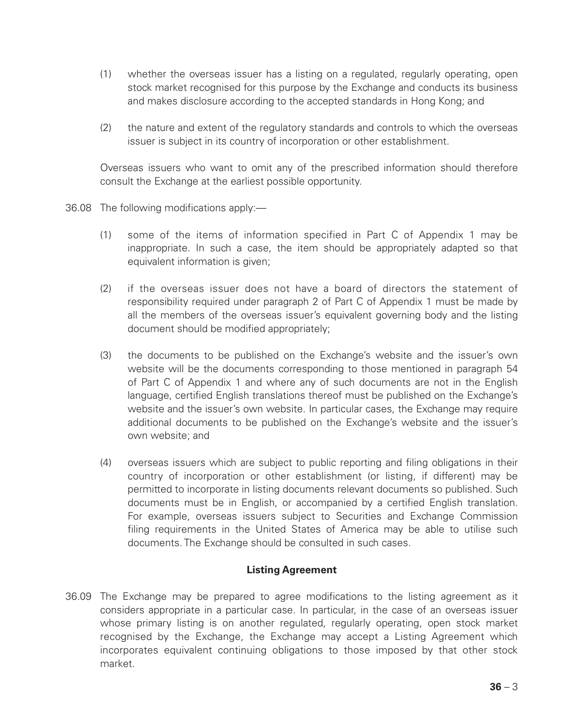- (1) whether the overseas issuer has a listing on a regulated, regularly operating, open stock market recognised for this purpose by the Exchange and conducts its business and makes disclosure according to the accepted standards in Hong Kong; and
- (2) the nature and extent of the regulatory standards and controls to which the overseas issuer is subject in its country of incorporation or other establishment.

Overseas issuers who want to omit any of the prescribed information should therefore consult the Exchange at the earliest possible opportunity.

- 36.08 The following modifications apply:—
	- (1) some of the items of information specified in Part C of Appendix 1 may be inappropriate. In such a case, the item should be appropriately adapted so that equivalent information is given;
	- (2) if the overseas issuer does not have a board of directors the statement of responsibility required under paragraph 2 of Part C of Appendix 1 must be made by all the members of the overseas issuer's equivalent governing body and the listing document should be modified appropriately;
	- (3) the documents to be published on the Exchange's website and the issuer's own website will be the documents corresponding to those mentioned in paragraph 54 of Part C of Appendix 1 and where any of such documents are not in the English language, certified English translations thereof must be published on the Exchange's website and the issuer's own website. In particular cases, the Exchange may require additional documents to be published on the Exchange's website and the issuer's own website; and
	- (4) overseas issuers which are subject to public reporting and filing obligations in their country of incorporation or other establishment (or listing, if different) may be permitted to incorporate in listing documents relevant documents so published. Such documents must be in English, or accompanied by a certified English translation. For example, overseas issuers subject to Securities and Exchange Commission filing requirements in the United States of America may be able to utilise such documents. The Exchange should be consulted in such cases.

# **Listing Agreement**

36.09 The Exchange may be prepared to agree modifications to the listing agreement as it considers appropriate in a particular case. In particular, in the case of an overseas issuer whose primary listing is on another regulated, regularly operating, open stock market recognised by the Exchange, the Exchange may accept a Listing Agreement which incorporates equivalent continuing obligations to those imposed by that other stock market.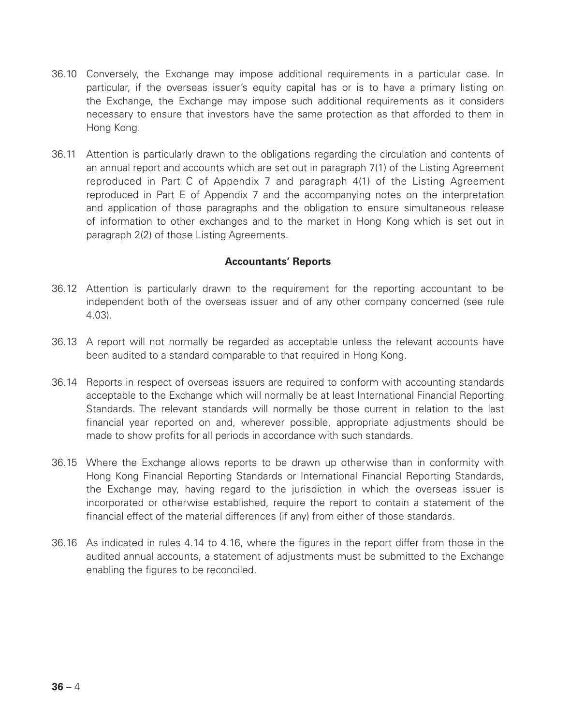- 36.10 Conversely, the Exchange may impose additional requirements in a particular case. In particular, if the overseas issuer's equity capital has or is to have a primary listing on the Exchange, the Exchange may impose such additional requirements as it considers necessary to ensure that investors have the same protection as that afforded to them in Hong Kong.
- 36.11 Attention is particularly drawn to the obligations regarding the circulation and contents of an annual report and accounts which are set out in paragraph 7(1) of the Listing Agreement reproduced in Part C of Appendix 7 and paragraph 4(1) of the Listing Agreement reproduced in Part E of Appendix 7 and the accompanying notes on the interpretation and application of those paragraphs and the obligation to ensure simultaneous release of information to other exchanges and to the market in Hong Kong which is set out in paragraph 2(2) of those Listing Agreements.

#### **Accountants' Reports**

- 36.12 Attention is particularly drawn to the requirement for the reporting accountant to be independent both of the overseas issuer and of any other company concerned (see rule 4.03).
- 36.13 A report will not normally be regarded as acceptable unless the relevant accounts have been audited to a standard comparable to that required in Hong Kong.
- 36.14 Reports in respect of overseas issuers are required to conform with accounting standards acceptable to the Exchange which will normally be at least International Financial Reporting Standards. The relevant standards will normally be those current in relation to the last financial year reported on and, wherever possible, appropriate adjustments should be made to show profits for all periods in accordance with such standards.
- 36.15 Where the Exchange allows reports to be drawn up otherwise than in conformity with Hong Kong Financial Reporting Standards or International Financial Reporting Standards, the Exchange may, having regard to the jurisdiction in which the overseas issuer is incorporated or otherwise established, require the report to contain a statement of the financial effect of the material differences (if any) from either of those standards.
- 36.16 As indicated in rules 4.14 to 4.16, where the figures in the report differ from those in the audited annual accounts, a statement of adjustments must be submitted to the Exchange enabling the figures to be reconciled.